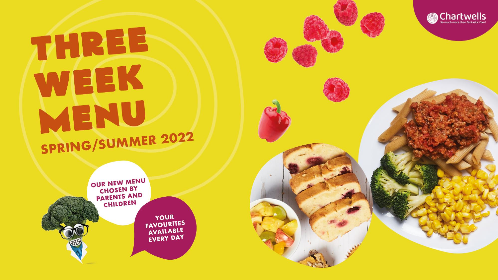## THREE WEEK MENU SPRING/SUMMER 2022



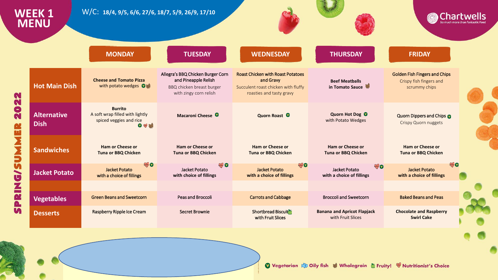|               | WEEK 1<br><b>MENU</b>             | W/C: 18/4, 9/5, 6/6, 27/6, 18/7, 5/9, 26/9, 17/10                                                             |                                                                                                                  |                                                                                                                          |                                                          |                                                                                  | <b>Chartwells</b> |
|---------------|-----------------------------------|---------------------------------------------------------------------------------------------------------------|------------------------------------------------------------------------------------------------------------------|--------------------------------------------------------------------------------------------------------------------------|----------------------------------------------------------|----------------------------------------------------------------------------------|-------------------|
|               |                                   | <b>MONDAY</b>                                                                                                 | <b>TUESDAY</b>                                                                                                   | <b>WEDNESDAY</b>                                                                                                         | <b>THURSDAY</b>                                          | <b>FRIDAY</b>                                                                    |                   |
| N<br>N        | <b>Hot Main Dish</b>              | <b>Cheese and Tomato Pizza</b><br>with potato wedges Out                                                      | Allegra's BBQ Chicken Burger Corn<br>and Pineapple Relish<br>BBQ chicken breast burger<br>with zingy corn relish | <b>Roast Chicken with Roast Potatoes</b><br>and Gravy<br>Succulent roast chicken with fluffy<br>roasties and tasty gravy | <b>Beef Meatballs</b><br>in Tomato Sauce                 | <b>Golden Fish Fingers and Chips</b><br>Crispy fish fingers and<br>scrummy chips |                   |
| 20<br>Q.<br>W | <b>Alternative</b><br><b>Dish</b> | <b>Burrito</b><br>A soft wrap filled with lightly<br>spiced veggies and rice<br>$\bullet$ $\bullet$ $\bullet$ | Macaroni Cheese <sup>0</sup>                                                                                     | Quorn Roast <sup>O</sup>                                                                                                 | Quorn Hot Dog <sup>O</sup><br>with Potato Wedges         | Quorn Dippers and Chips @<br><b>Crispy Quorn nuggets</b>                         |                   |
| PRING/SUMM    | <b>Sandwiches</b>                 | <b>Ham or Cheese or</b><br><b>Tuna or BBQ Chicken</b>                                                         | <b>Ham or Cheese or</b><br><b>Tuna or BBQ Chicken</b>                                                            | <b>Ham or Cheese or</b><br><b>Tuna or BBQ Chicken</b>                                                                    | <b>Ham or Cheese or</b><br><b>Tuna or BBQ Chicken</b>    | <b>Ham or Cheese or</b><br><b>Tuna or BBQ Chicken</b>                            |                   |
|               | <b>Jacket Potato</b>              | <b>WO</b><br><b>Jacket Potato</b><br>with a choice of fillings                                                | <b>ANY O</b><br>Jacket Potato<br>with choice of fillings                                                         | <b>AND</b><br>Jacket Potato<br>with a choice of fillings                                                                 | <b>END</b><br>Jacket Potato<br>with a choice of fillings | Jacket Potato<br>with a choice of fillings                                       | <b>WANTON</b>     |
|               |                                   |                                                                                                               |                                                                                                                  |                                                                                                                          |                                                          |                                                                                  |                   |
|               | <b>Vegetables</b>                 | <b>Green Beans and Sweetcorn</b>                                                                              | Peas and Broccoli                                                                                                | <b>Carrots and Cabbage</b>                                                                                               | <b>Broccoli and Sweetcorn</b>                            | <b>Baked Beans and Peas</b>                                                      |                   |
| <b>Vi</b>     | <b>Desserts</b>                   | Raspberry Ripple Ice Cream                                                                                    | <b>Secret Brownie</b>                                                                                            | Shortbread Biscuit<br>with Fruit Slices                                                                                  | <b>Banana and Apricot Flapjack</b><br>with Fruit Slices  | <b>Chocolate and Raspberry</b><br><b>Swirl Cake</b>                              |                   |
|               |                                   |                                                                                                               |                                                                                                                  |                                                                                                                          |                                                          |                                                                                  |                   |
|               |                                   |                                                                                                               |                                                                                                                  |                                                                                                                          |                                                          |                                                                                  |                   |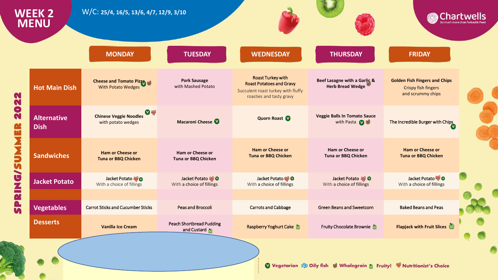|                                         | <b>WEEK 2</b><br><b>MENU</b>      | W/C: 25/4, 16/5, 13/6, 4/7, 12/9, 3/10                           |                                                |                                                                                                                               |                                                                       | <b>Chartwells</b>                                                                |  |
|-----------------------------------------|-----------------------------------|------------------------------------------------------------------|------------------------------------------------|-------------------------------------------------------------------------------------------------------------------------------|-----------------------------------------------------------------------|----------------------------------------------------------------------------------|--|
|                                         |                                   | <b>MONDAY</b>                                                    | <b>TUESDAY</b>                                 | <b>WEDNESDAY</b>                                                                                                              | <b>THURSDAY</b>                                                       | <b>FRIDAY</b>                                                                    |  |
| 022                                     | <b>Hot Main Dish</b>              | <b>Cheese and Tomato Pizza</b><br>With Potato Wedges             | <b>Pork Sausage</b><br>with Mashed Potato      | <b>Roast Turkey with</b><br><b>Roast Potatoes and Gravy</b><br>Succulent roast turkey with fluffy<br>roasties and tasty gravy | Beef Lasagne with a Garlic &<br><b>Herb Bread Wedge</b>               | <b>Golden Fish Fingers and Chips</b><br>Crispy fish fingers<br>and scrummy chips |  |
| N                                       | <b>Alternative</b><br><b>Dish</b> | $\bullet$<br><b>Chinese Veggie Noodles</b><br>with potato wedges | Macaroni Cheese <sup>1</sup>                   | Quorn Roast                                                                                                                   | <b>Veggie Balls In Tomato Sauce</b><br>with Pasta                     | The Incredible Burger with Chips                                                 |  |
| 52                                      | <b>Sandwiches</b>                 | <b>Ham or Cheese or</b><br><b>Tuna or BBQ Chicken</b>            | <b>Ham or Cheese or</b><br>Tuna or BBQ Chicken | <b>Ham or Cheese or</b><br><b>Tuna or BBQ Chicken</b>                                                                         | Ham or Cheese or<br>Tuna or BBQ Chicken                               | <b>Ham or Cheese or</b><br><b>Tuna or BBQ Chicken</b>                            |  |
| $\overline{\phantom{0}}$<br><b>QNIC</b> | <b>Jacket Potato</b>              | Jacket Potato<br>With a choice of fillings                       | Jacket Potato<br>With a choice of fillings     | Jacket Potato<br>With a choice of fillings                                                                                    | Jacket Potato<br>With a choice of fillings                            | Jacket Potato<br>With a choice of fillings                                       |  |
| $\overline{\bullet}$<br>$\overline{M}$  | <b>Vegetables</b>                 | <b>Carrot Sticks and Cucumber Sticks</b>                         | Peas and Broccoli                              | <b>Carrots and Cabbage</b>                                                                                                    | <b>Green Beans and Sweetcorn</b>                                      | <b>Baked Beans and Peas</b>                                                      |  |
|                                         | <b>Desserts</b>                   | <b>Vanilla Ice Cream</b>                                         | <b>Peach Shortbread Pudding</b><br>and Custard | Raspberry Yoghurt Cake                                                                                                        | Fruity Chocolate Brownie                                              | Flapjack with Fruit Slices                                                       |  |
|                                         |                                   |                                                                  |                                                |                                                                                                                               | Vegetarian & Oily fish & Wholegrain & Fruity! W Nutritionist's Choice |                                                                                  |  |